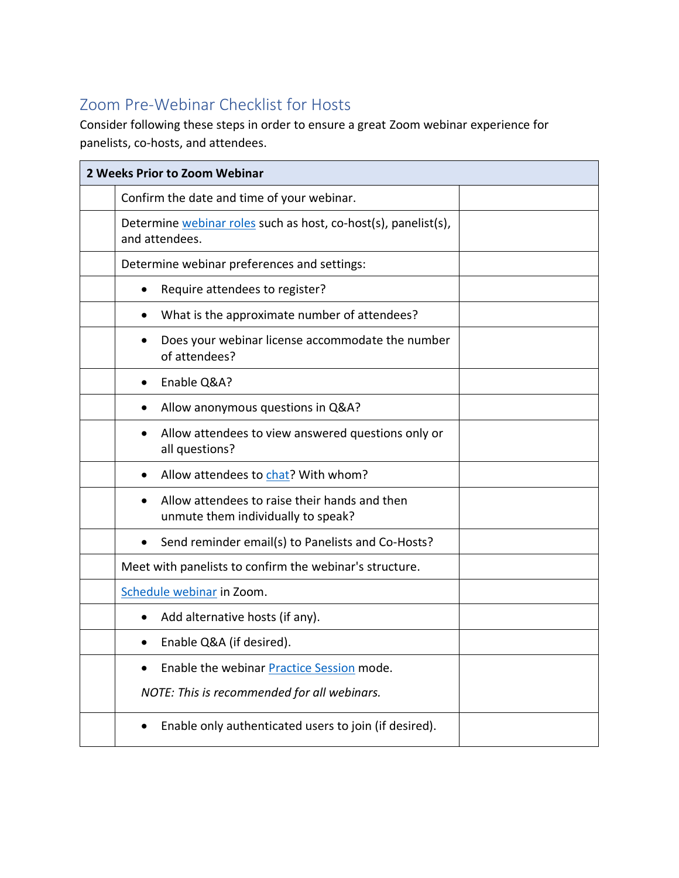## Zoom Pre-Webinar Checklist for Hosts

Consider following these steps in order to ensure a great Zoom webinar experience for panelists, co-hosts, and attendees.

| 2 Weeks Prior to Zoom Webinar |                                                                                                  |  |
|-------------------------------|--------------------------------------------------------------------------------------------------|--|
|                               | Confirm the date and time of your webinar.                                                       |  |
|                               | Determine webinar roles such as host, co-host(s), panelist(s),<br>and attendees.                 |  |
|                               | Determine webinar preferences and settings:                                                      |  |
|                               | Require attendees to register?<br>$\bullet$                                                      |  |
|                               | What is the approximate number of attendees?                                                     |  |
|                               | Does your webinar license accommodate the number<br>$\bullet$<br>of attendees?                   |  |
|                               | Enable Q&A?<br>$\bullet$                                                                         |  |
|                               | Allow anonymous questions in Q&A?                                                                |  |
|                               | Allow attendees to view answered questions only or<br>all questions?                             |  |
|                               | Allow attendees to chat? With whom?                                                              |  |
|                               | Allow attendees to raise their hands and then<br>$\bullet$<br>unmute them individually to speak? |  |
|                               | Send reminder email(s) to Panelists and Co-Hosts?<br>٠                                           |  |
|                               | Meet with panelists to confirm the webinar's structure.                                          |  |
|                               | Schedule webinar in Zoom.                                                                        |  |
|                               | Add alternative hosts (if any).<br>٠                                                             |  |
|                               | Enable Q&A (if desired).                                                                         |  |
|                               | Enable the webinar Practice Session mode.                                                        |  |
|                               | NOTE: This is recommended for all webinars.                                                      |  |
|                               | Enable only authenticated users to join (if desired).                                            |  |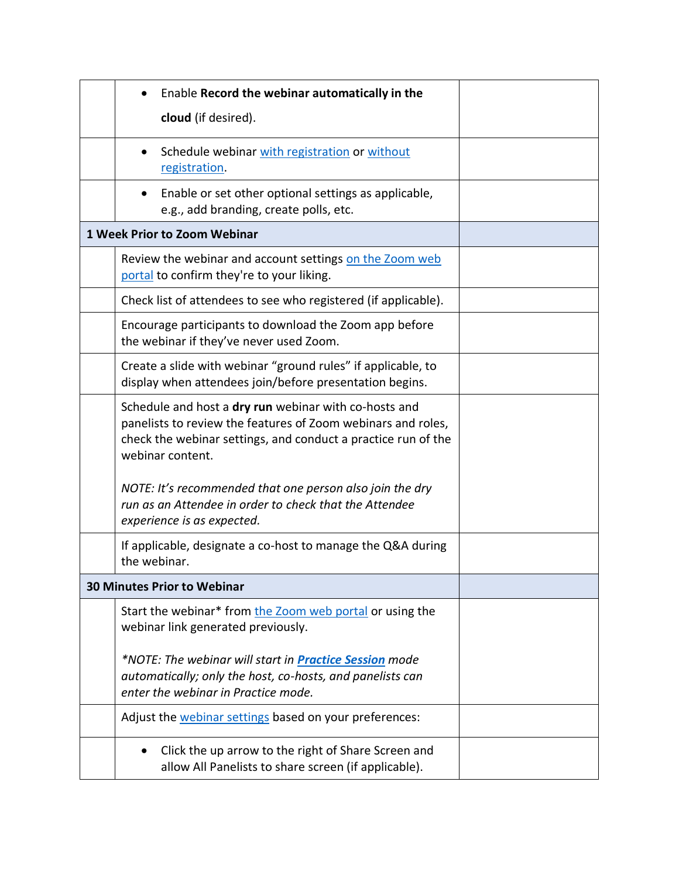| Enable Record the webinar automatically in the                                                                                                                                                             |  |
|------------------------------------------------------------------------------------------------------------------------------------------------------------------------------------------------------------|--|
| cloud (if desired).                                                                                                                                                                                        |  |
| Schedule webinar with registration or without<br>registration.                                                                                                                                             |  |
| Enable or set other optional settings as applicable,<br>e.g., add branding, create polls, etc.                                                                                                             |  |
| 1 Week Prior to Zoom Webinar                                                                                                                                                                               |  |
| Review the webinar and account settings on the Zoom web<br>portal to confirm they're to your liking.                                                                                                       |  |
| Check list of attendees to see who registered (if applicable).                                                                                                                                             |  |
| Encourage participants to download the Zoom app before<br>the webinar if they've never used Zoom.                                                                                                          |  |
| Create a slide with webinar "ground rules" if applicable, to<br>display when attendees join/before presentation begins.                                                                                    |  |
| Schedule and host a dry run webinar with co-hosts and<br>panelists to review the features of Zoom webinars and roles,<br>check the webinar settings, and conduct a practice run of the<br>webinar content. |  |
| NOTE: It's recommended that one person also join the dry<br>run as an Attendee in order to check that the Attendee<br>experience is as expected.                                                           |  |
| If applicable, designate a co-host to manage the Q&A during<br>the webinar.                                                                                                                                |  |
| <b>30 Minutes Prior to Webinar</b>                                                                                                                                                                         |  |
| Start the webinar* from the Zoom web portal or using the<br>webinar link generated previously.                                                                                                             |  |
| *NOTE: The webinar will start in <b>Practice Session</b> mode<br>automatically; only the host, co-hosts, and panelists can<br>enter the webinar in Practice mode.                                          |  |
| Adjust the webinar settings based on your preferences:                                                                                                                                                     |  |
| Click the up arrow to the right of Share Screen and<br>allow All Panelists to share screen (if applicable).                                                                                                |  |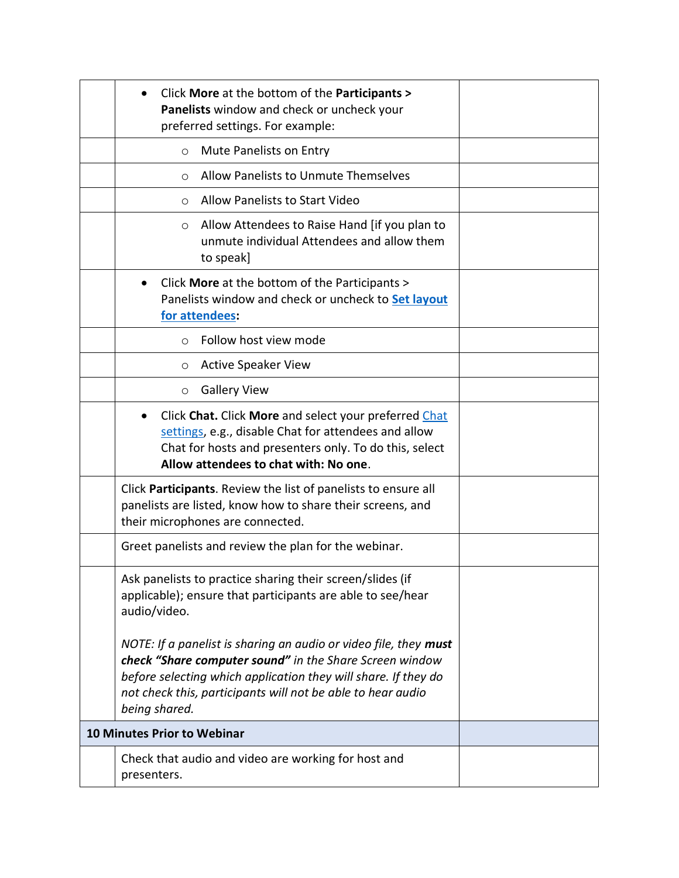| Click More at the bottom of the Participants ><br>$\bullet$<br>Panelists window and check or uncheck your<br>preferred settings. For example:                                                                                                                                 |  |
|-------------------------------------------------------------------------------------------------------------------------------------------------------------------------------------------------------------------------------------------------------------------------------|--|
| Mute Panelists on Entry<br>$\circ$                                                                                                                                                                                                                                            |  |
| Allow Panelists to Unmute Themselves<br>$\circ$                                                                                                                                                                                                                               |  |
| Allow Panelists to Start Video<br>$\circ$                                                                                                                                                                                                                                     |  |
| Allow Attendees to Raise Hand [if you plan to<br>O<br>unmute individual Attendees and allow them<br>to speak]                                                                                                                                                                 |  |
| Click More at the bottom of the Participants ><br>Panelists window and check or uncheck to Set layout<br>for attendees:                                                                                                                                                       |  |
| Follow host view mode<br>$\circ$                                                                                                                                                                                                                                              |  |
| <b>Active Speaker View</b><br>O                                                                                                                                                                                                                                               |  |
| <b>Gallery View</b><br>$\circ$                                                                                                                                                                                                                                                |  |
| Click Chat. Click More and select your preferred Chat<br>settings, e.g., disable Chat for attendees and allow<br>Chat for hosts and presenters only. To do this, select<br>Allow attendees to chat with: No one.                                                              |  |
| Click <b>Participants</b> . Review the list of panelists to ensure all<br>panelists are listed, know how to share their screens, and<br>their microphones are connected.                                                                                                      |  |
| Greet panelists and review the plan for the webinar.                                                                                                                                                                                                                          |  |
| Ask panelists to practice sharing their screen/slides (if<br>applicable); ensure that participants are able to see/hear<br>audio/video.                                                                                                                                       |  |
| NOTE: If a panelist is sharing an audio or video file, they must<br>check "Share computer sound" in the Share Screen window<br>before selecting which application they will share. If they do<br>not check this, participants will not be able to hear audio<br>being shared. |  |
| 10 Minutes Prior to Webinar                                                                                                                                                                                                                                                   |  |
| Check that audio and video are working for host and<br>presenters.                                                                                                                                                                                                            |  |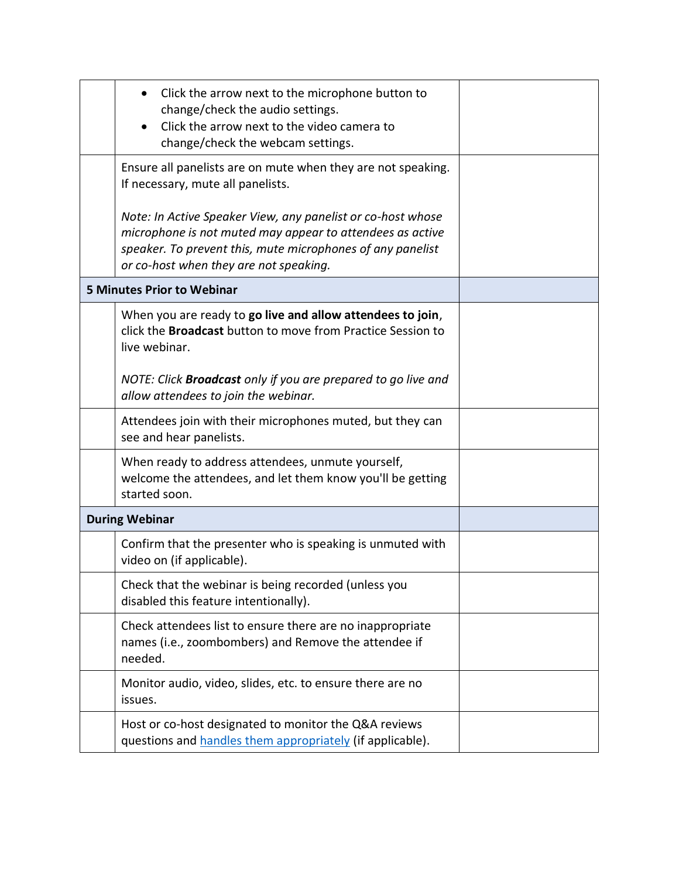| Click the arrow next to the microphone button to<br>change/check the audio settings.<br>Click the arrow next to the video camera to<br>change/check the webcam settings.                                                         |  |
|----------------------------------------------------------------------------------------------------------------------------------------------------------------------------------------------------------------------------------|--|
| Ensure all panelists are on mute when they are not speaking.<br>If necessary, mute all panelists.                                                                                                                                |  |
| Note: In Active Speaker View, any panelist or co-host whose<br>microphone is not muted may appear to attendees as active<br>speaker. To prevent this, mute microphones of any panelist<br>or co-host when they are not speaking. |  |
| <b>5 Minutes Prior to Webinar</b>                                                                                                                                                                                                |  |
| When you are ready to go live and allow attendees to join,<br>click the <b>Broadcast</b> button to move from Practice Session to<br>live webinar.                                                                                |  |
| NOTE: Click <b>Broadcast</b> only if you are prepared to go live and<br>allow attendees to join the webinar.                                                                                                                     |  |
| Attendees join with their microphones muted, but they can<br>see and hear panelists.                                                                                                                                             |  |
| When ready to address attendees, unmute yourself,<br>welcome the attendees, and let them know you'll be getting<br>started soon.                                                                                                 |  |
| <b>During Webinar</b>                                                                                                                                                                                                            |  |
| Confirm that the presenter who is speaking is unmuted with<br>video on (if applicable).                                                                                                                                          |  |
| Check that the webinar is being recorded (unless you<br>disabled this feature intentionally).                                                                                                                                    |  |
| Check attendees list to ensure there are no inappropriate<br>names (i.e., zoombombers) and Remove the attendee if<br>needed.                                                                                                     |  |
| Monitor audio, video, slides, etc. to ensure there are no<br>issues.                                                                                                                                                             |  |
| Host or co-host designated to monitor the Q&A reviews<br>questions and handles them appropriately (if applicable).                                                                                                               |  |